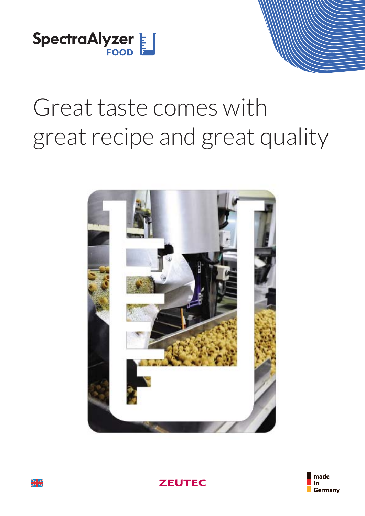

# Great taste comes with great recipe and great quality







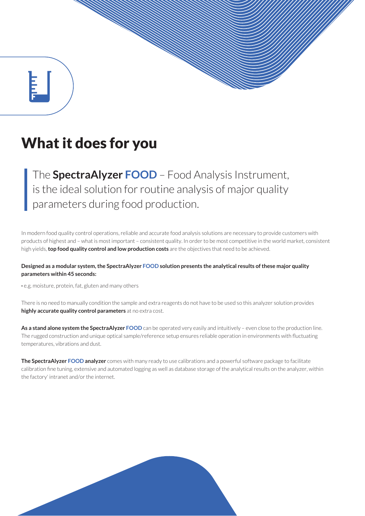# What it does for you

The **SpectraAlyzer FOOD** – Food Analysis Instrument, is the ideal solution for routine analysis of major quality parameters during food production.

In modern food quality control operations, reliable and accurate food analysis solutions are necessary to provide customers with products of highest and – what is most important – consistent quality. In order to be most competitive in the world market, consistent high yields, **top food quality control and low production costs** are the objectives that need to be achieved.

#### **Designed as a modular system, the SpectraAlyzer FOOD solution presents the analytical results of these major quality parameters within 45 seconds:**

**·** e.g. moisture, protein, fat, gluten and many others

There is no need to manually condition the sample and extra reagents do not have to be used so this analyzer solution provides **highly accurate quality control parameters** at no extra cost.

As a stand alone system the SpectraAlyzer FOOD can be operated very easily and intuitively - even close to the production line. The rugged construction and unique optical sample/reference setup ensures reliable operation in environments with fluctuating temperatures, vibrations and dust.

**The SpectraAlyzer FOOD analyzer** comes with many ready to use calibrations and a powerful software package to facilitate calibration fine tuning, extensive and automated logging as well as database storage of the analytical results on the analyzer, within the factory' intranet and/or the internet.

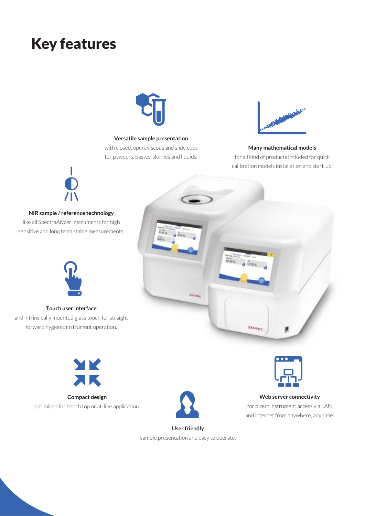# Key features



#### **Versatile sample presentation**

with closed, open, viscous and slide cups for powders, pastes, slurries and liquids.



#### **Many mathematical models**

for all kind of products included for quick calibration models installation and start-up.



#### **NIR sample / reference technology**

like all SpectraAlyzer instruments for high sensitive and long term stable measurements.



#### **Touch user interface**

and intrinsically mounted glass touch for straight forward hygienic instrument operation.



**Compact design** optimised for bench top or at-line application.





#### **Web server connectivity** for direct instrument access via LAN and internet from anywhere, any time.

**User friendly** sample presentation and easy to operate.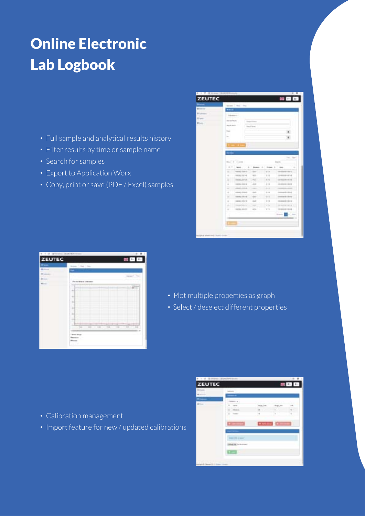# Online Electronic Lab Logbook

- **·** Full sample and analytical results history
- **·** Filter results by time or sample name
- **·** Search for samples
- **·** Export to Application Worx
- **·** Copy, print or save (PDF / Excel) samples

|   |                     | been the two                                    |                    |                     |                    |
|---|---------------------|-------------------------------------------------|--------------------|---------------------|--------------------|
| ÷ |                     |                                                 |                    |                     |                    |
|   |                     | <b>CONTRACTOR</b>                               |                    |                     |                    |
|   |                     |                                                 |                    |                     |                    |
|   |                     | OR RECK                                         |                    |                     |                    |
|   | <b>Board Street</b> |                                                 | ÷                  |                     |                    |
|   | Total I             |                                                 |                    |                     |                    |
|   | ×<br>$\sim$         |                                                 |                    |                     |                    |
|   | ٠                   |                                                 |                    |                     |                    |
|   |                     | .                                               |                    |                     |                    |
|   |                     |                                                 |                    |                     |                    |
|   |                     |                                                 |                    |                     |                    |
|   |                     |                                                 |                    |                     | <b>House</b>       |
|   | <b>Side of</b>      | ۰<br><b>COMMERCIAL</b>                          |                    |                     |                    |
|   | $-1$                | ٠<br><b>Security</b>                            | <b>Business</b>    | ٠<br>Three areas    | t.<br>$\mathbb{R}$ |
|   |                     |                                                 |                    |                     |                    |
|   | ٠                   | HANG GALLER                                     | irai.              | <b>WITE</b>         |                    |
|   | ٠                   | record in an wall                               | $+11$              | $11 - 14$           |                    |
|   | ٠                   | HER, LEW                                        | 443                | $= -1$              |                    |
|   | ٠                   | and the                                         | $+11$              | vr<br>$+1$          | $\cdots$           |
|   | $\rightarrow$       | ---                                             | -                  |                     | --                 |
|   | $\rightarrow$       | <b>HERE STAGE</b>                               | 19.93              | $= -1$              | 249938411414       |
|   | w<br>$\equiv$       | <b>Contractor</b><br><b>CORN FROM</b>           | <b>Links</b><br>15 | ò.<br>$\frac{1}{2}$ |                    |
|   | $\equiv$            | <b>All Street</b><br><b>HERE REVEN</b>          | دعه<br>1 star      | . .<br>$1 - 14$     | ×                  |
|   | n.                  | <b>Common Librar</b>                            | <b>SERVICE</b>     | - -                 |                    |
|   |                     | <b>Contract Contract</b><br><b>HATAL ARTIST</b> | œ<br>48.34         | m<br>37.74          |                    |
|   |                     |                                                 |                    |                     | ı<br><b>State</b>  |
|   | ٠                   |                                                 |                    |                     |                    |

|        | <b>BUILDE DE DE</b>                                                                                                                                 |
|--------|-----------------------------------------------------------------------------------------------------------------------------------------------------|
| ZEUTEC | 金庫<br>$\blacksquare$                                                                                                                                |
|        | Artes   Art   Flo                                                                                                                                   |
|        | -                                                                                                                                                   |
|        | Price and Minister of Constitutions                                                                                                                 |
|        | ٠<br>w<br><b>Barbara</b><br>लाम<br>.<br><b>COLLECTION</b><br>٠<br>v<br>÷<br>$\overline{a}$<br>ŀ<br>n.<br>÷<br>ĸ<br>$-0.01$<br>ю<br>٠<br>E<br>B<br>٠ |
|        | ٠<br>$-1$<br>$\frac{1}{2}$<br><br><b>COMPANY</b><br>$\frac{1}{2}$<br>т<br>$\cdots$<br>$-$<br>- 1<br><b>Times balley</b><br>Q.                       |

- **·** Plot multiple properties as graph
- **·** Select / deselect different properties

- **·** Calibration management
- **·** Import feature for new / updated calibrations

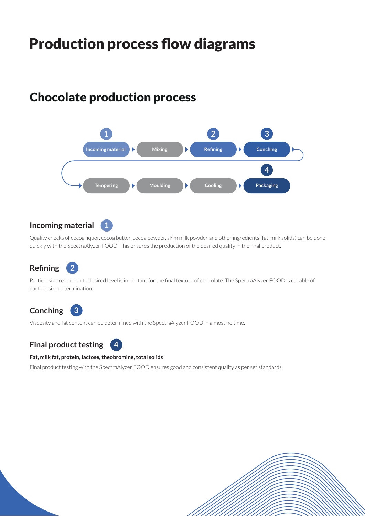# Production process flow diagrams

### Chocolate production process

**1**



### **Incoming material**

Quality checks of cocoa liquor, cocoa butter, cocoa powder, skim milk powder and other ingredients (fat, milk solids) can be done quickly with the SpectraAlyzer FOOD. This ensures the production of the desired quality in the final product.

#### **Refining 2**

Particle size reduction to desired level is important for the final texture of chocolate. The SpectraAlyzer FOOD is capable of particle size determination.

### **Conching 3**

Viscosity and fat content can be determined with the SpectraAlyzer FOOD in almost no time.

**Final product testing**

#### **Fat, milk fat, protein, lactose, theobromine, total solids**

**4**

Final product testing with the SpectraAlyzer FOOD ensures good and consistent quality as per set standards.

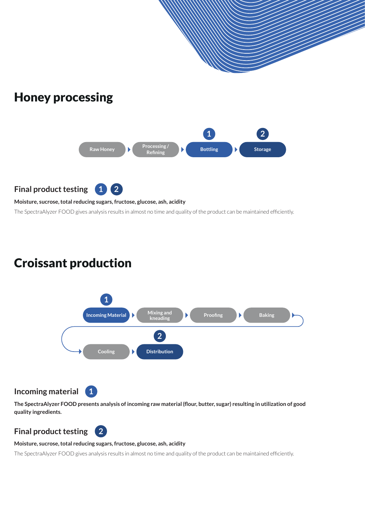

The SpectraAlyzer FOOD gives analysis results in almost no time and quality of the product can be maintained efficiently.

### Croissant production



**Incoming material**

**1**

**The SpectraAlyzer FOOD presents analysis of incoming raw material (flour, butter, sugar) resulting in utilization of good quality ingredients.**

### **Final product testing**

#### **Moisture, sucrose, total reducing sugars, fructose, glucose, ash, acidity**

**2**

The SpectraAlyzer FOOD gives analysis results in almost no time and quality of the product can be maintained efficiently.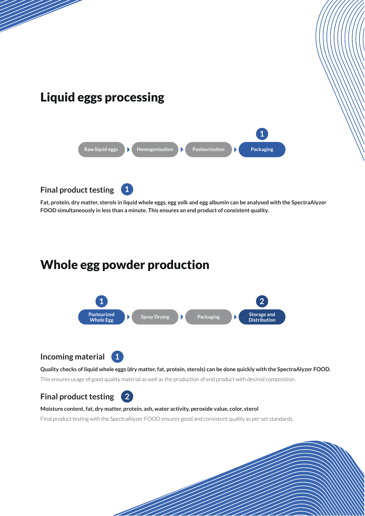![](_page_6_Figure_0.jpeg)

**Fat, protein, dry matter, sterols in liquid whole eggs, egg yolk and egg albumin can be analysed with the SpectraAlyzer FOOD simultaneously in less than a minute. This ensures an end product of consistent quality.**

### Whole egg powder production

![](_page_6_Figure_3.jpeg)

### **Incoming material**

![](_page_6_Picture_5.jpeg)

#### **Quality checks of liquid whole eggs (dry matter, fat, protein, sterols) can be done quickly with the SpectraAlyzer FOOD.**

This ensures usage of good quality material as well as the production of end product with desired composition.

### **Final product testing 2**

#### **Moisture content, fat, dry matter, protein, ash, water activity, peroxide value, color, sterol**

Final product testing with the SpectraAlyzer FOOD ensures good and consistent quality as per set standards.